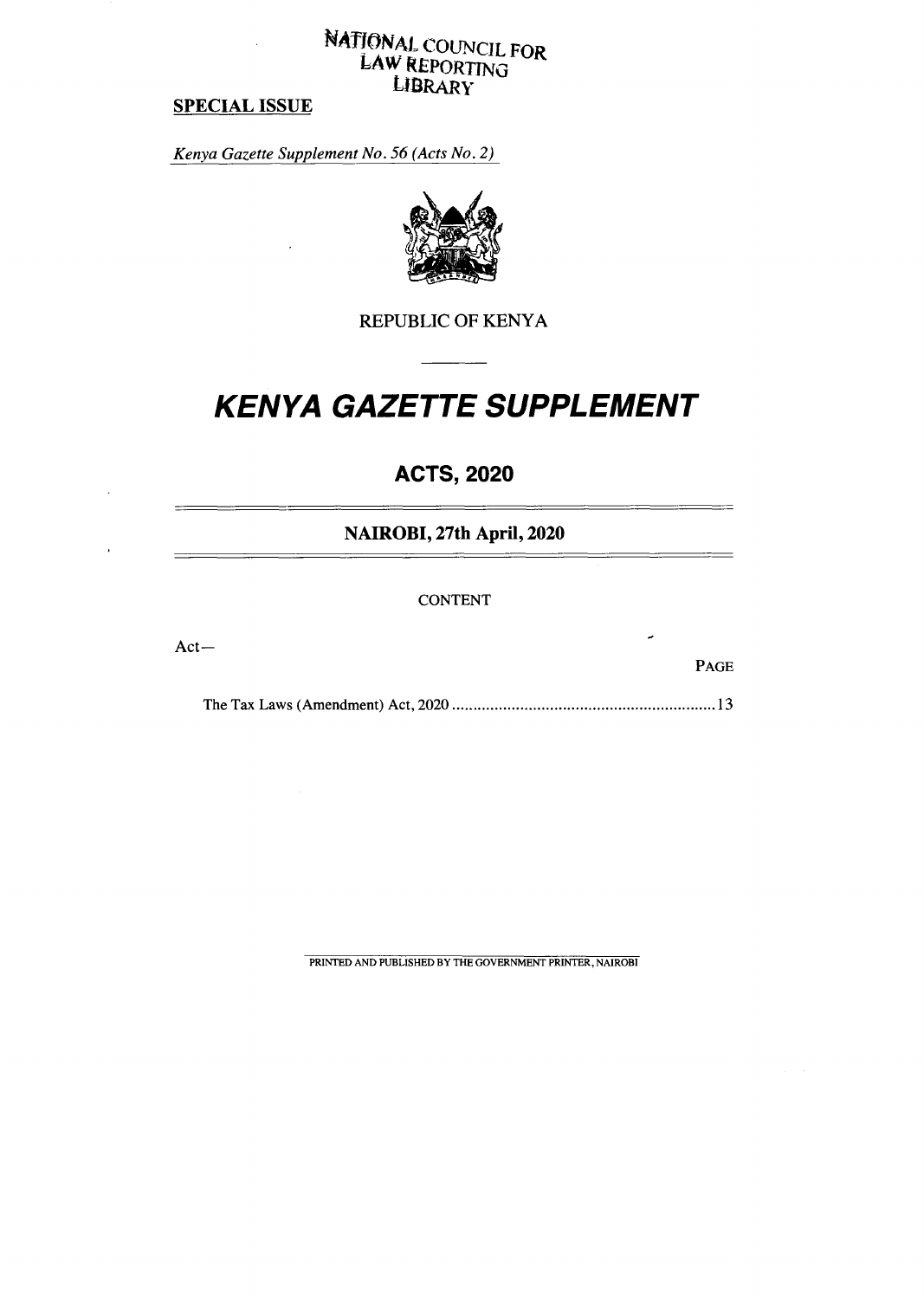### **NATIONAL COUNCIL FOR LAW REPORTING LIBRARY**

# **SPECIAL ISSUE**

Act—

*Kenya Gazette Supplement No. 56 (Acts No. 2)* 



**REPUBLIC OF KENYA** 

# **KENYA GAZETTE SUPPLEMENT**

# **ACTS, 2020**

**NAIROBI, 27th April, 2020** 

CONTENT

| <b>PAGE</b> |
|-------------|
|             |

**PRINTED AND PUBLISHED BY THE GOVERNMENT PRINTER, NAIROBI**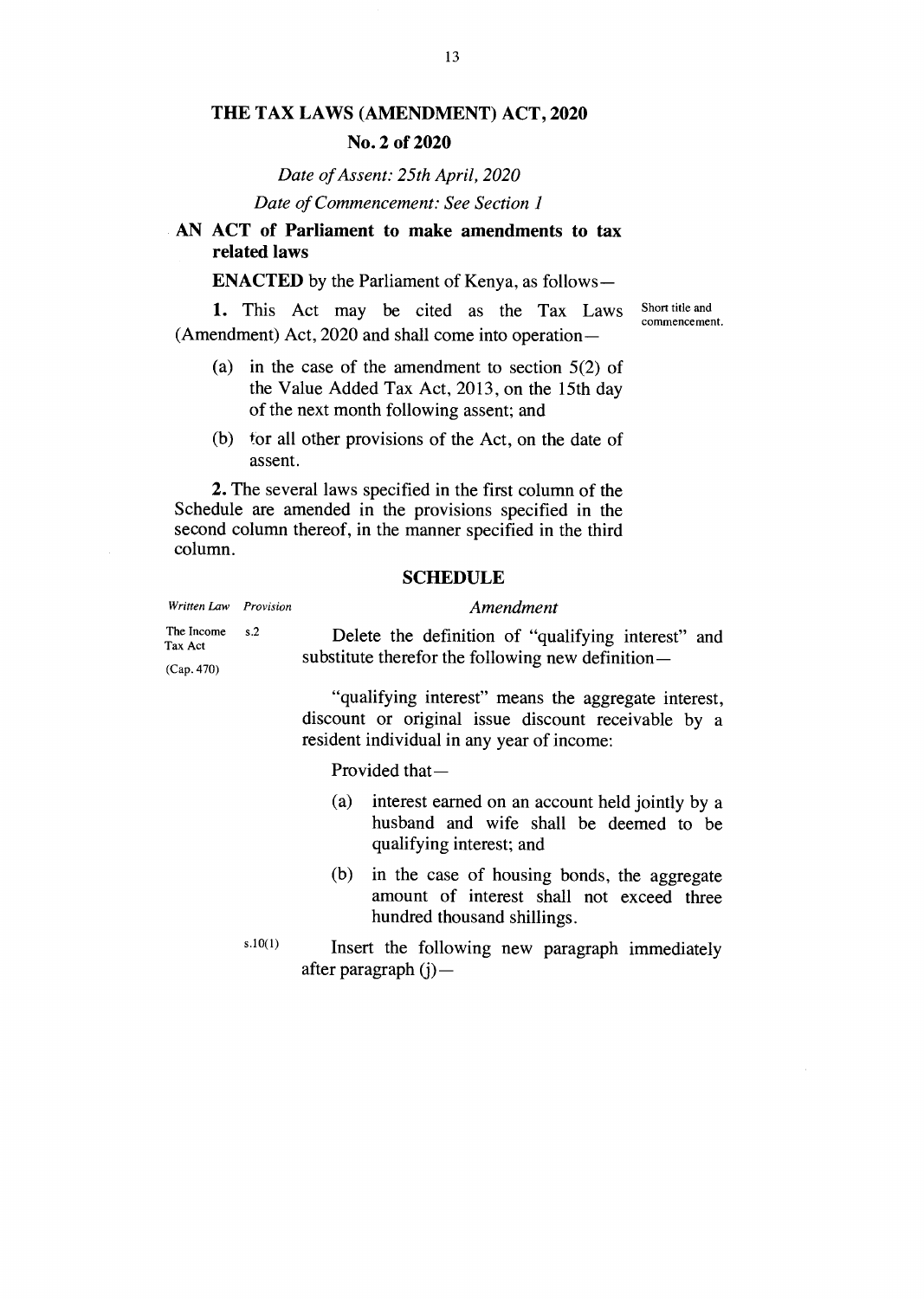### **THE TAX LAWS (AMENDMENT) ACT, 2020**

### **No. 2 of 2020**

*Date of Assent: 25th April, 2020* 

*Date of Commencement: See Section 1* 

### **AN ACT of Parliament to make amendments to tax related laws**

### **ENACTED** by the Parliament of Kenya, as follows —

**1.** This Act may be cited as the Tax Laws (Amendment) Act, 2020 and shall come into operation —

- (a) in the case of the amendment to section 5(2) of the Value Added Tax Act, 2013, on the 15th day of the next month following assent; and
- (b) tor all other provisions of the Act, on the date of assent.

**2.** The several laws specified in the first column of the Schedule are amended in the provisions specified in the second column thereof, in the manner specified in the third column.

### **SCHEDULE**

| Written Law Provision               |     | Amendment                                                                                               |
|-------------------------------------|-----|---------------------------------------------------------------------------------------------------------|
| The Income<br>Tax Act<br>(Cap. 470) | s.2 | Delete the definition of "qualifying interest" and<br>substitute therefor the following new definition— |
|                                     |     | "qualifying interest" means the aggregate interest                                                      |

qualifying interest" means the aggregate interest, discount or original issue discount receivable by a resident individual in any year of income:

Provided that—

- (a) interest earned on an account held jointly by a husband and wife shall be deemed to be qualifying interest; and
- (b) in the case of housing bonds, the aggregate amount of interest shall not exceed three hundred thousand shillings.

 $s.10(1)$  Insert the following new paragraph immediately after paragraph (j)—

Short title and commencement.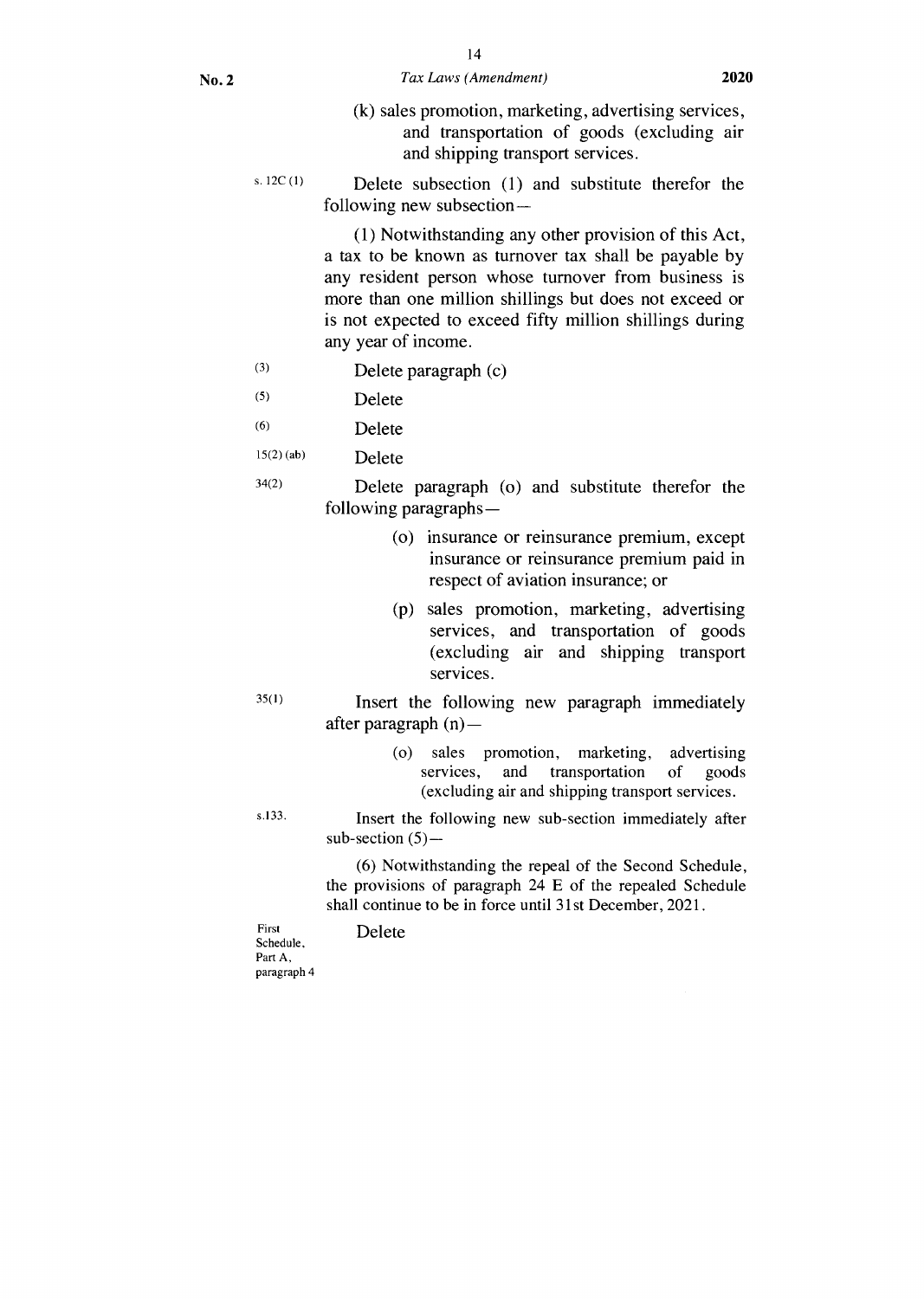### No. 2 *Tax Laws (Amendment)* 2020

- (k) sales promotion, marketing, advertising services, and transportation of goods (excluding air and shipping transport services.
- $s. 12C(1)$  Delete subsection (1) and substitute therefor the following new subsection —

(1) Notwithstanding any other provision of this Act, a tax to be known as turnover tax shall be payable by any resident person whose turnover from business is more than one million shillings but does not exceed or is not expected to exceed fifty million shillings during any year of income.

- (3) Delete paragraph (c)
- (5) Delete
- (6) Delete
- 15(2) (ab) Delete
- 
- 34(2) Delete paragraph (o) and substitute therefor the following paragraphs —
	- (o) insurance or reinsurance premium, except insurance or reinsurance premium paid in respect of aviation insurance; or
	- (P) sales promotion, marketing, advertising services, and transportation of goods (excluding air and shipping transport services.

35(1) Insert the following new paragraph immediately after paragraph (n)—

> (o) sales promotion, marketing, advertising<br>services, and transportation of goods transportation of goods (excluding air and shipping transport services.

s.133. Insert the following new sub-section immediately after sub-section  $(5)$ —

> (6) Notwithstanding the repeal of the Second Schedule, the provisions of paragraph 24 E of the repealed Schedule shall continue to be in force until 31st December, 2021.

First Delete Schedule, Part A, paragraph 4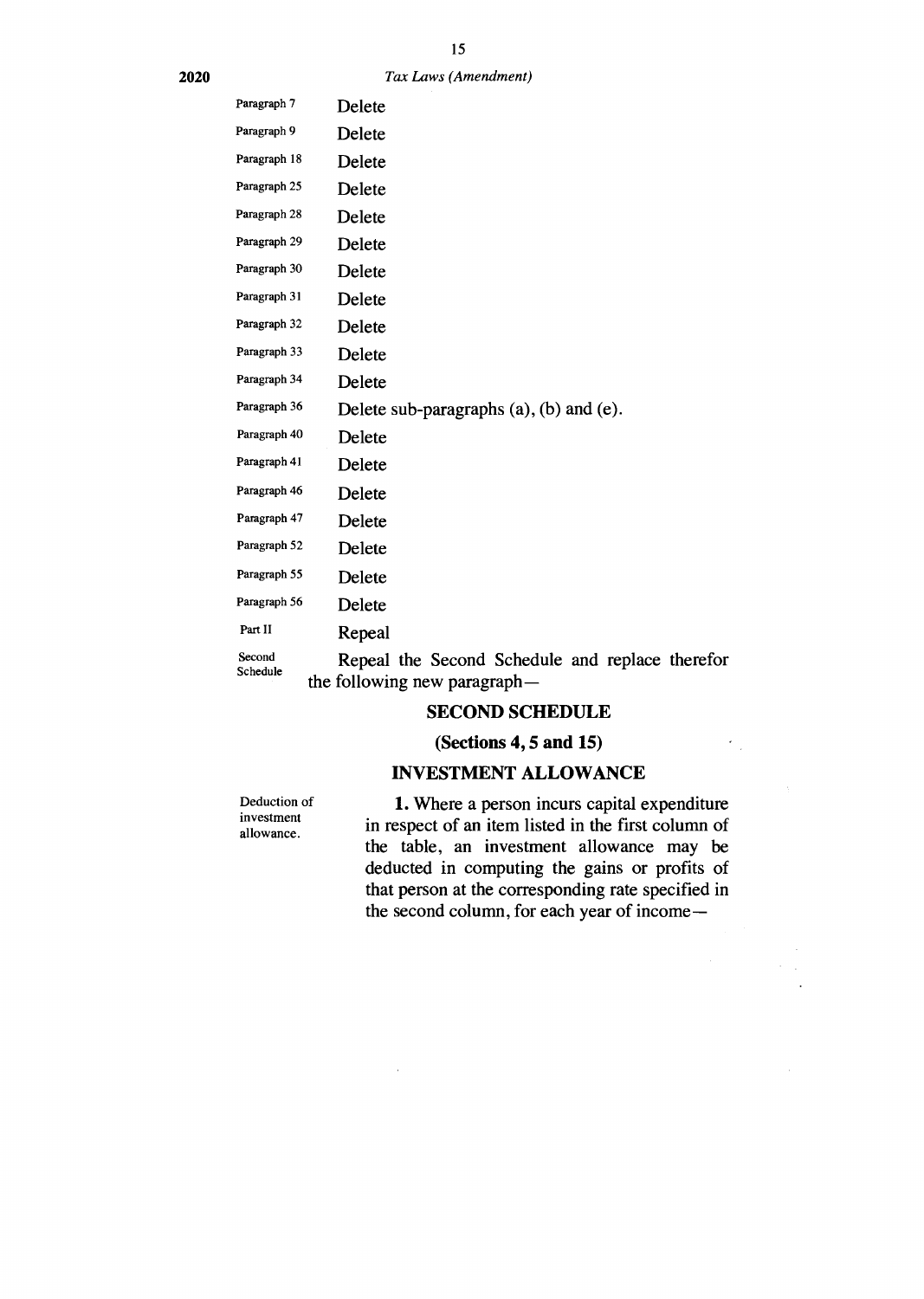### *Tax Laws (Amendment)*

| Paragraph 7        | Delete                                                                          |
|--------------------|---------------------------------------------------------------------------------|
| Paragraph 9        | Delete                                                                          |
| Paragraph 18       | Delete                                                                          |
| Paragraph 25       | Delete                                                                          |
| Paragraph 28       | Delete                                                                          |
| Paragraph 29       | Delete                                                                          |
| Paragraph 30       | Delete                                                                          |
| Paragraph 31       | Delete                                                                          |
| Paragraph 32       | Delete                                                                          |
| Paragraph 33       | Delete                                                                          |
| Paragraph 34       | Delete                                                                          |
| Paragraph 36       | Delete sub-paragraphs $(a)$ , $(b)$ and $(e)$ .                                 |
| Paragraph 40       | Delete                                                                          |
| Paragraph 41       | Delete                                                                          |
| Paragraph 46       | Delete                                                                          |
| Paragraph 47       | Delete                                                                          |
| Paragraph 52       | Delete                                                                          |
| Paragraph 55       | Delete                                                                          |
| Paragraph 56       | Delete                                                                          |
| Part II            | Repeal                                                                          |
| Second<br>Schedule | Repeal the Second Schedule and replace therefor<br>the following new paragraph— |

### **SECOND SCHEDULE**

### **(Sections 4, 5 and 15)**

### **INVESTMENT ALLOWANCE**

Deduction of investment allowance.

1. Where a person incurs capital expenditure in respect of an item listed in the first column of the table, an investment allowance may be deducted in computing the gains or profits of that person at the corresponding rate specified in the second column, for each year of income—

 $\epsilon$  $\mathbb{R}^2$ 

 $\bar{\mathcal{A}}$ 

**2020**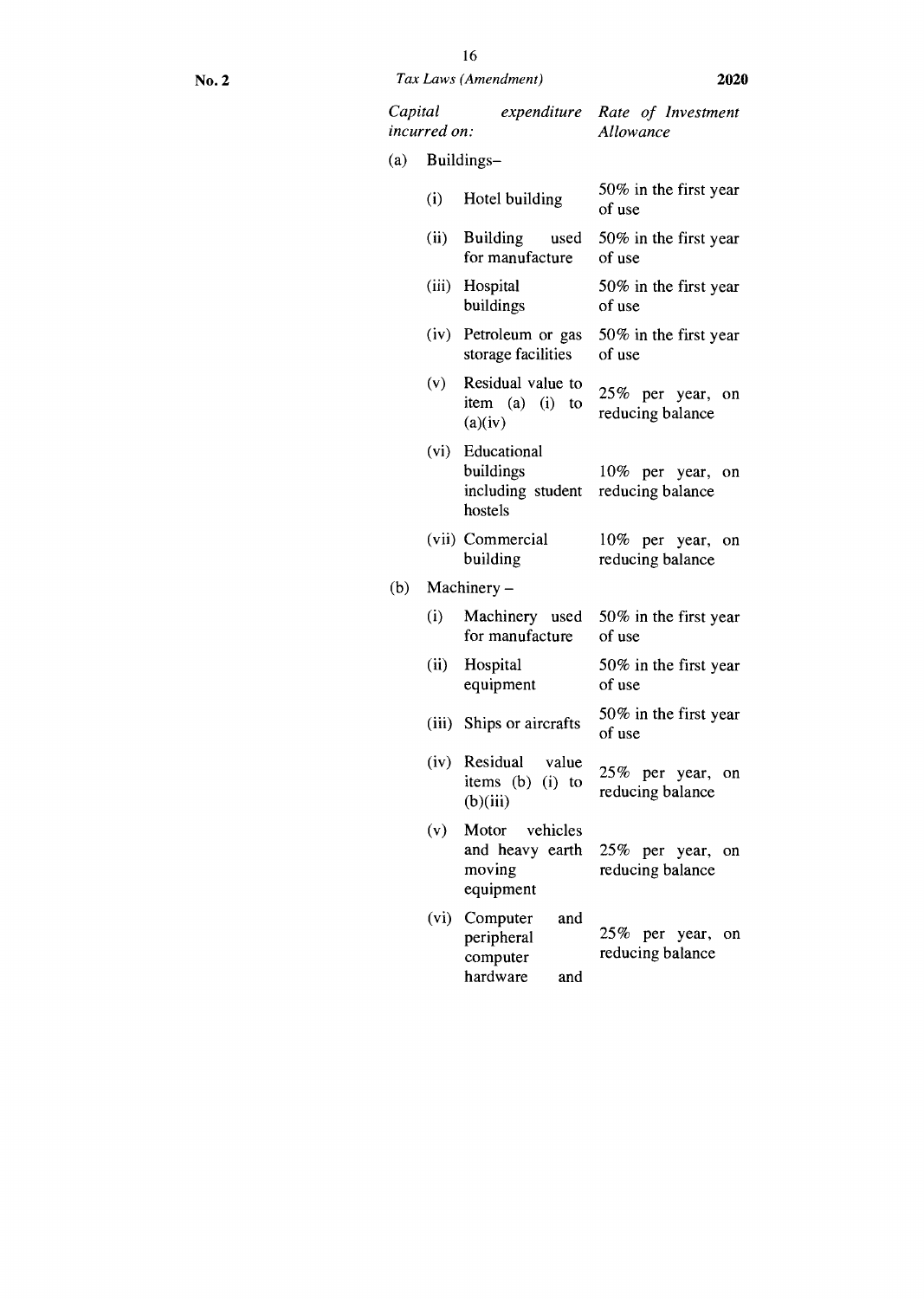### No. 2 *Tax Laws (Amendment)* 2020

*Capital expenditure Rate of Investment incurred on: Allowance*  (a) Buildings— (i) Hotel building (ii) Building used for manufacture (iii) Hospital 50% in the first year of use 50% in the first year of use 50% in the first year

| $\left( -1 \right)$ $-1 \right)$<br>buildings | of use                   |
|-----------------------------------------------|--------------------------|
| $(iv)$ Detroleum or gas                       | $50\%$ in the first year |

|                    | $(1v)$ retroleum or gas $30\%$ in the first year |
|--------------------|--------------------------------------------------|
| storage facilities | of use                                           |

| (v) Residual value to<br>item $(a)$ $(i)$<br>to<br>(a)(iv) | $25\%$ per year, on<br>reducing balance |
|------------------------------------------------------------|-----------------------------------------|
|                                                            |                                         |

| (vi) Educational                   |  |                     |  |
|------------------------------------|--|---------------------|--|
| buildings                          |  | $10\%$ per year, on |  |
| including student reducing balance |  |                     |  |
| hostels                            |  |                     |  |

| (vii) Commercial |  | $10\%$ per year, on |  |
|------------------|--|---------------------|--|
| building         |  | reducing balance    |  |

# (b) Machinery —

|                        | (i) Machinery used $50\%$ in the first year |
|------------------------|---------------------------------------------|
| for manufacture of use |                                             |
| アナナシュー ママー しょうせい       | $\sim$ $\sim$ $\sim$ $\sim$                 |

| (ii) Hospital | 50% in the first year |
|---------------|-----------------------|
| equipment     | of use                |

(iii) Ships or aircrafts 50% in the first year of use

(iv) Residual value items (b) (i) to  $(b)(iii)$ 25% per year, on reducing balance

(v) Motor vehicles and heavy earth moving equipment 25% per year, on reducing balance

(vi) Computer and peripheral computer hardware and 25% per year, on reducing balance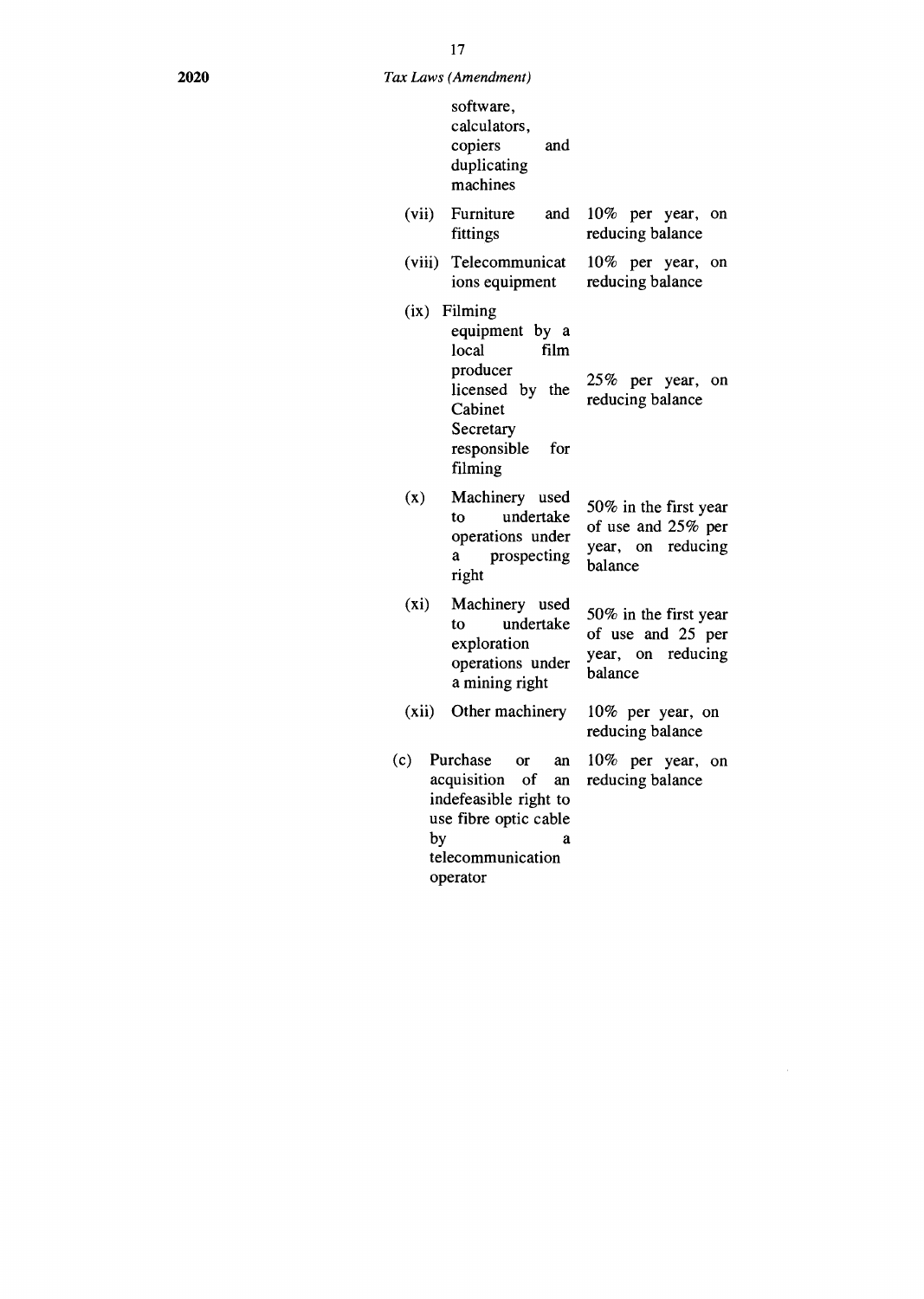|                         | software,<br>calculators,<br>copiers<br>and<br>duplicating<br>machines                                                                           |                                                                             |
|-------------------------|--------------------------------------------------------------------------------------------------------------------------------------------------|-----------------------------------------------------------------------------|
| (vii)                   | Furniture<br>and<br>fittings                                                                                                                     | 10% per year,<br>on<br>reducing balance                                     |
| (viii)                  | Telecommunicat<br>ions equipment                                                                                                                 | 10% per year, on<br>reducing balance                                        |
|                         | (ix) Filming<br>equipment by a<br>local<br>film<br>producer<br>licensed by the<br>Cabinet<br>Secretary<br>responsible<br>for<br>filming          | $25\%$ per year,<br>on<br>reducing balance                                  |
| (x)                     | Machinery used<br>undertake<br>to<br>operations under<br>a<br>prospecting<br>right                                                               | 50% in the first year<br>of use and 25% per<br>year, on reducing<br>balance |
| $(x_i)$                 | Machinery used<br>undertake<br>tο<br>exploration<br>operations under<br>a mining right                                                           | 50% in the first year<br>of use and 25 per<br>year, on reducing<br>balance  |
| (xii)                   | Other machinery                                                                                                                                  | 10% per year, on<br>reducing balance                                        |
| $\left( c\right)$<br>by | Purchase<br><b>or</b><br>an<br>acquisition<br>- of<br>an<br>indefeasible right to<br>use fibre optic cable<br>a<br>telecommunication<br>operator | $10\%$<br>per year, on<br>reducing balance                                  |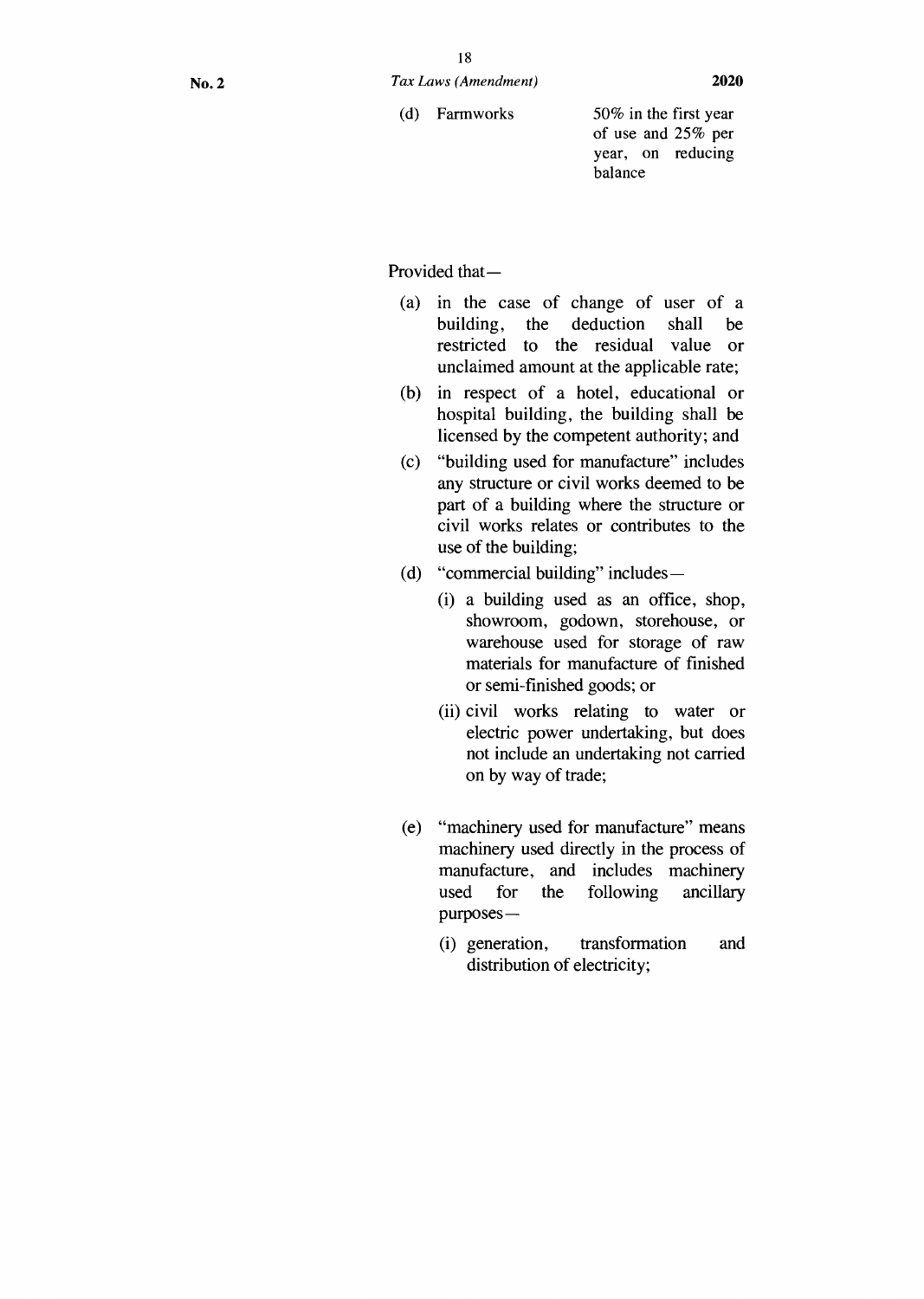(d) Farmworks 50% in the first year

of use and 25% per year, on reducing balance

Provided that-

- (a) in the case of change of user of a<br>building, the deduction shall be building, the deduction shall restricted to the residual value or unclaimed amount at the applicable rate;
- (b) in respect of a hotel, educational or hospital building, the building shall be licensed by the competent authority; and
- (c) "building used for manufacture" includes any structure or civil works deemed to be part of a building where the structure or civil works relates or contributes to the use of the building;
- (d) "commercial building" includes—
	- (i) a building used as an office, shop, showroom, godown, storehouse, or warehouse used for storage of raw materials for manufacture of finished or semi-finished goods; or
	- (ii) civil works relating to water or electric power undertaking, but does not include an undertaking not carried on by way of trade;
- (e) "machinery used for manufacture" means machinery used directly in the process of manufacture, and includes machinery used for the following ancillary purposes —
	- (i) generation, transformation and distribution of electricity;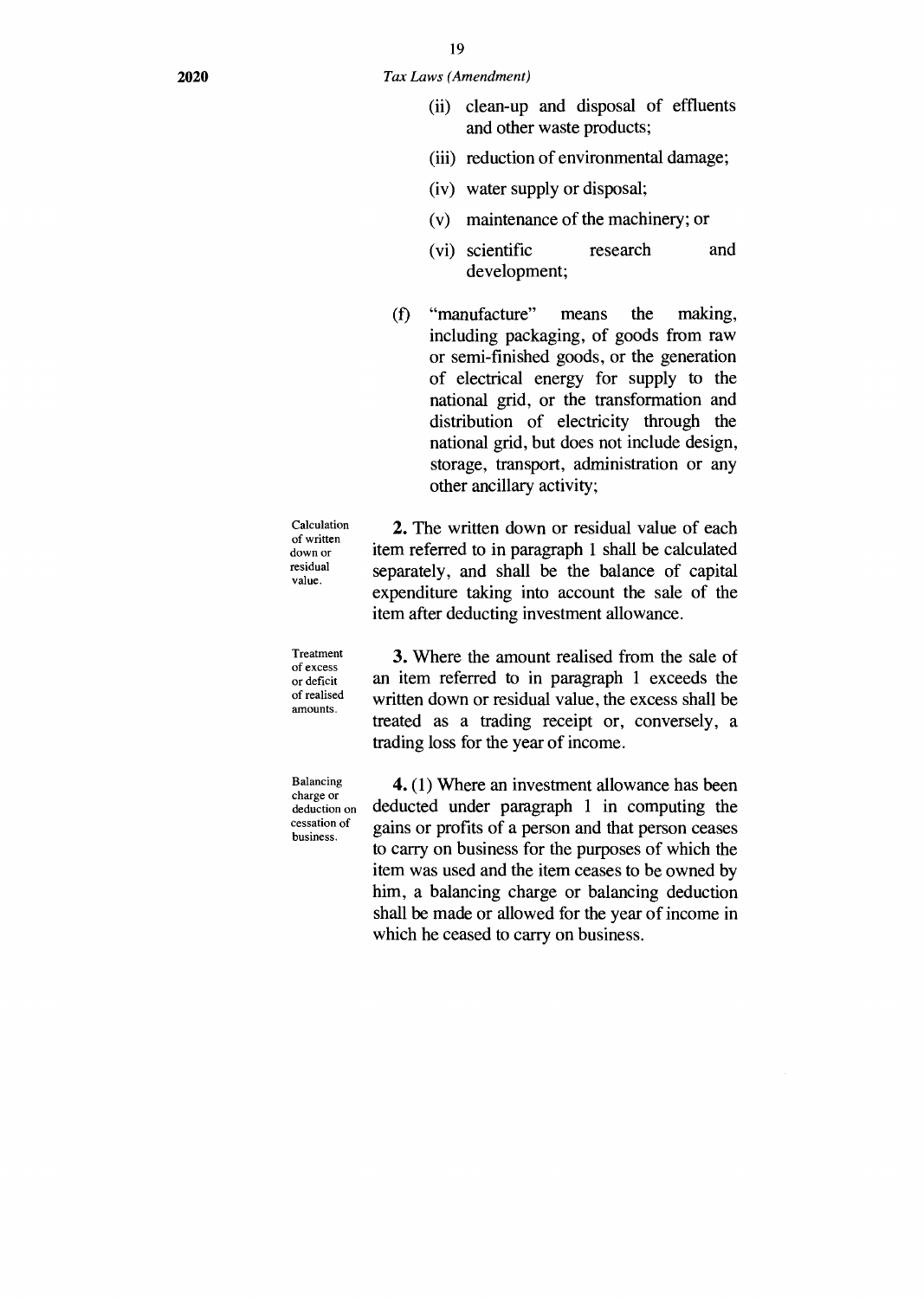### **2020** *Tax Laws (Amendment)*

- (ii) clean-up and disposal of effluents and other waste products;
- (iii) reduction of environmental damage;
- (iv) water supply or disposal;
- (v) maintenance of the machinery; or
- (vi) scientific research and development;
- (f) "manufacture" means the making, including packaging, of goods from raw or semi-finished goods, or the generation of electrical energy for supply to the national grid, or the transformation and distribution of electricity through the national grid, but does not include design, storage, transport, administration or any other ancillary activity;

Calculation 2. The written down or residual value of each item referred to in paragraph 1 shall be calculated separately, and shall be the balance of capital expenditure taking into account the sale of the item after deducting investment allowance.

Treatment of excess or deficit of realised amounts.

of written down or residual value.

> 3. Where the amount realised from the sale of an item referred to in paragraph 1 exceeds the written down or residual value, the excess shall be treated as a trading receipt or, conversely, a trading loss for the year of income.

Balancing charge or deduction on cessation of business.

4. (1) Where an investment allowance has been deducted under paragraph 1 in computing the gains or profits of a person and that person ceases to carry on business for the purposes of which the item was used and the item ceases to be owned by him, a balancing charge or balancing deduction shall be made or allowed for the year of income in which he ceased to carry on business.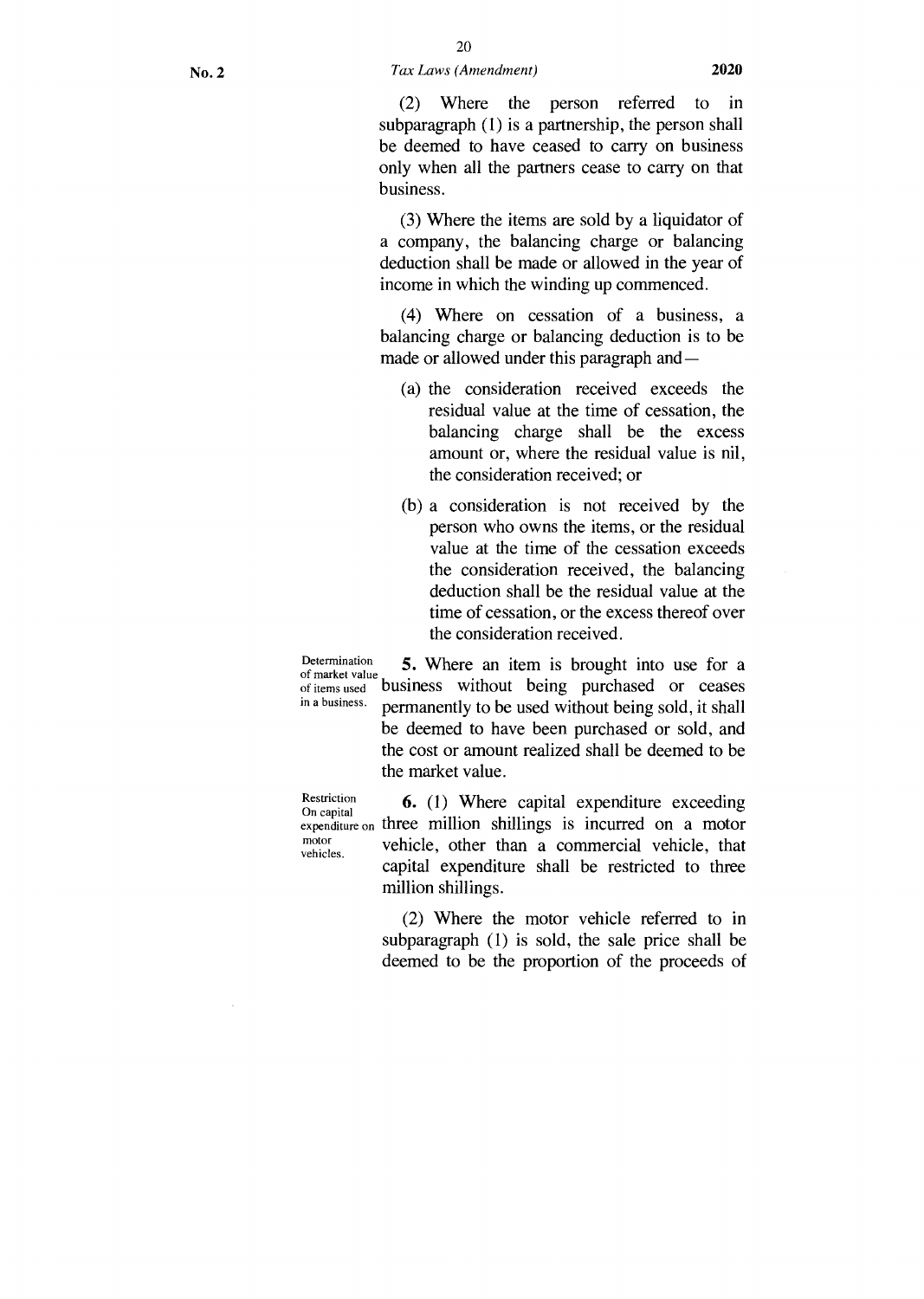(2) Where the person referred to in subparagraph (1) is a partnership, the person shall be deemed to have ceased to carry on business only when all the partners cease to carry on that business.

(3) Where the items are sold by a liquidator of a company, the balancing charge or balancing deduction shall be made or allowed in the year of income in which the winding up commenced.

(4) Where on cessation of a business, a balancing charge or balancing deduction is to be made or allowed under this paragraph and —

- (a) the consideration received exceeds the residual value at the time of cessation, the balancing charge shall be the excess amount or, where the residual value is nil, the consideration received; or
- (b) a consideration is not received by the person who owns the items, or the residual value at the time of the cessation exceeds the consideration received, the balancing deduction shall be the residual value at the time of cessation, or the excess thereof over the consideration received.

Determination **5.** Where an item is brought into use for a of market value<br>of items used business without being purchased or ceases in a business. permanently to be used without being sold, it shall be deemed to have been purchased or sold, and the cost or amount realized shall be deemed to be the market value.

On capital

Restriction **6.** (1) Where capital expenditure exceeding expenditure on three million shillings is incurred on a motor motor vehicle, other than a commercial vehicle, that capital expenditure shall be restricted to three million shillings.

> (2) Where the motor vehicle referred to in subparagraph (1) is sold, the sale price shall be deemed to be the proportion of the proceeds of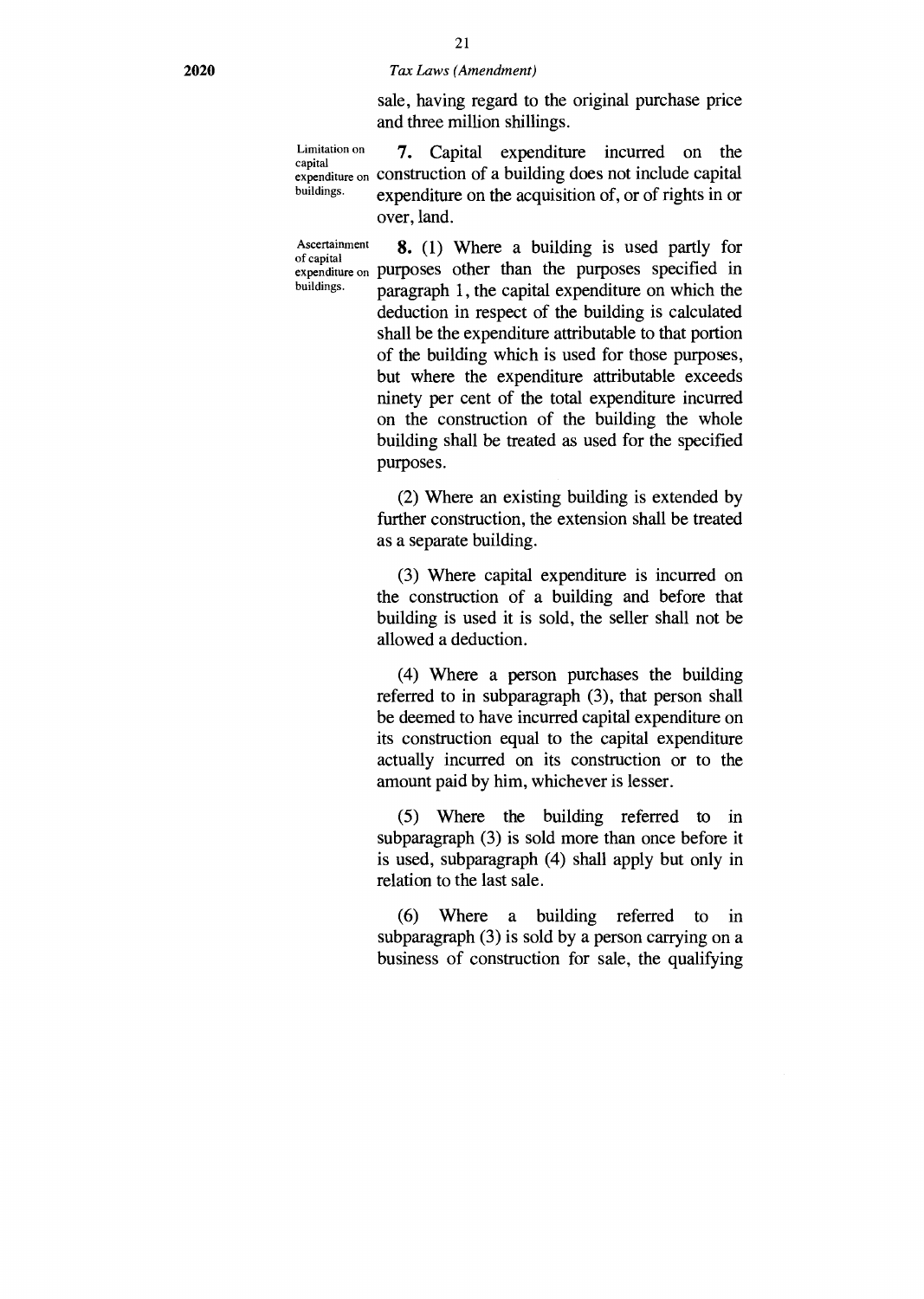sale, having regard to the original purchase price and three million shillings.

Limitation on **7.** Capital expenditure incurred on the capital  $\frac{1}{\text{expending}}$  construction of a building does not include capital buildings. expenditure on the acquisition of, or of rights in or over, land.

Ascertainment **8.** (1) Where a building is used partly for expenditure on purposes other than the purposes specified in<br>buildings. paragraph 1 the capital expenditure on which the paragraph 1, the capital expenditure on which the deduction in respect of the building is calculated shall be the expenditure attributable to that portion of the building which is used for those purposes, but where the expenditure attributable exceeds ninety per cent of the total expenditure incurred on the construction of the building the whole building shall be treated as used for the specified purposes.

> (2) Where an existing building is extended by further construction, the extension shall be treated as a separate building.

> (3) Where capital expenditure is incurred on the construction of a building and before that building is used it is sold, the seller shall not be allowed a deduction.

> (4) Where a person purchases the building referred to in subparagraph (3), that person shall be deemed to have incurred capital expenditure on its construction equal to the capital expenditure actually incurred on its construction or to the amount paid by him, whichever is lesser.

> (5) Where the building referred to in subparagraph (3) is sold more than once before it is used, subparagraph (4) shall apply but only in relation to the last sale.

> (6) Where a building referred to in subparagraph (3) is sold by a person carrying on a business of construction for sale, the qualifying

of capital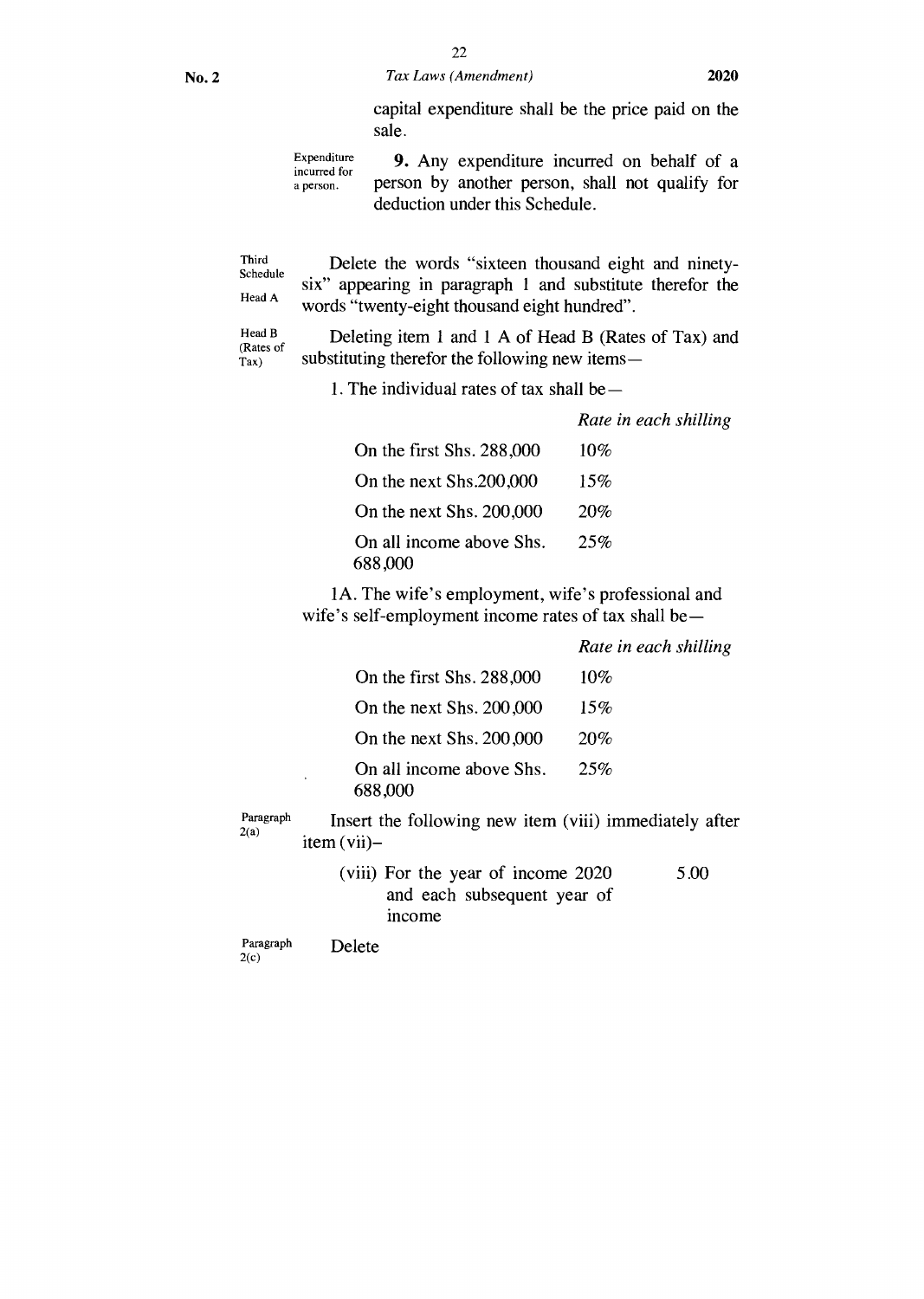capital expenditure shall be the price paid on the sale.

Expenditure incurred for a person. **9.** Any expenditure incurred on behalf of a person by another person, shall not qualify for deduction under this Schedule.

Third Schedule Head A Delete the words "sixteen thousand eight and ninetysix" appearing in paragraph 1 and substitute therefor the words "twenty-eight thousand eight hundred".

Head B (Rates of Tax)

Deleting item 1 and 1 A of Head B (Rates of Tax) and substituting therefor the following new items-

1. The individual rates of tax shall be *—* 

*Rate in each shilling* 

| On the first Shs. 288,000           | 10% |
|-------------------------------------|-----|
| On the next Shs.200,000             | 15% |
| On the next Shs. 200,000            | 20% |
| On all income above Shs.<br>688,000 | 25% |

1A. The wife's employment, wife's professional and wife's self-employment income rates of tax shall be *—* 

|                                                                            | Rate in each shilling |
|----------------------------------------------------------------------------|-----------------------|
| On the first Shs. 288,000                                                  | 10%                   |
| On the next Shs. 200,000                                                   | 15%                   |
| On the next Shs. 200,000                                                   | 20%                   |
| On all income above Shs.<br>688,000                                        | 25%                   |
| Insert the following new item (viii) immediately after<br>$item (vii)$ -   |                       |
| (viii) For the year of income 2020<br>and each subsequent year of<br>mcome | 5.00                  |

Paragraph Delete 2(c)

Paragraph 2(a)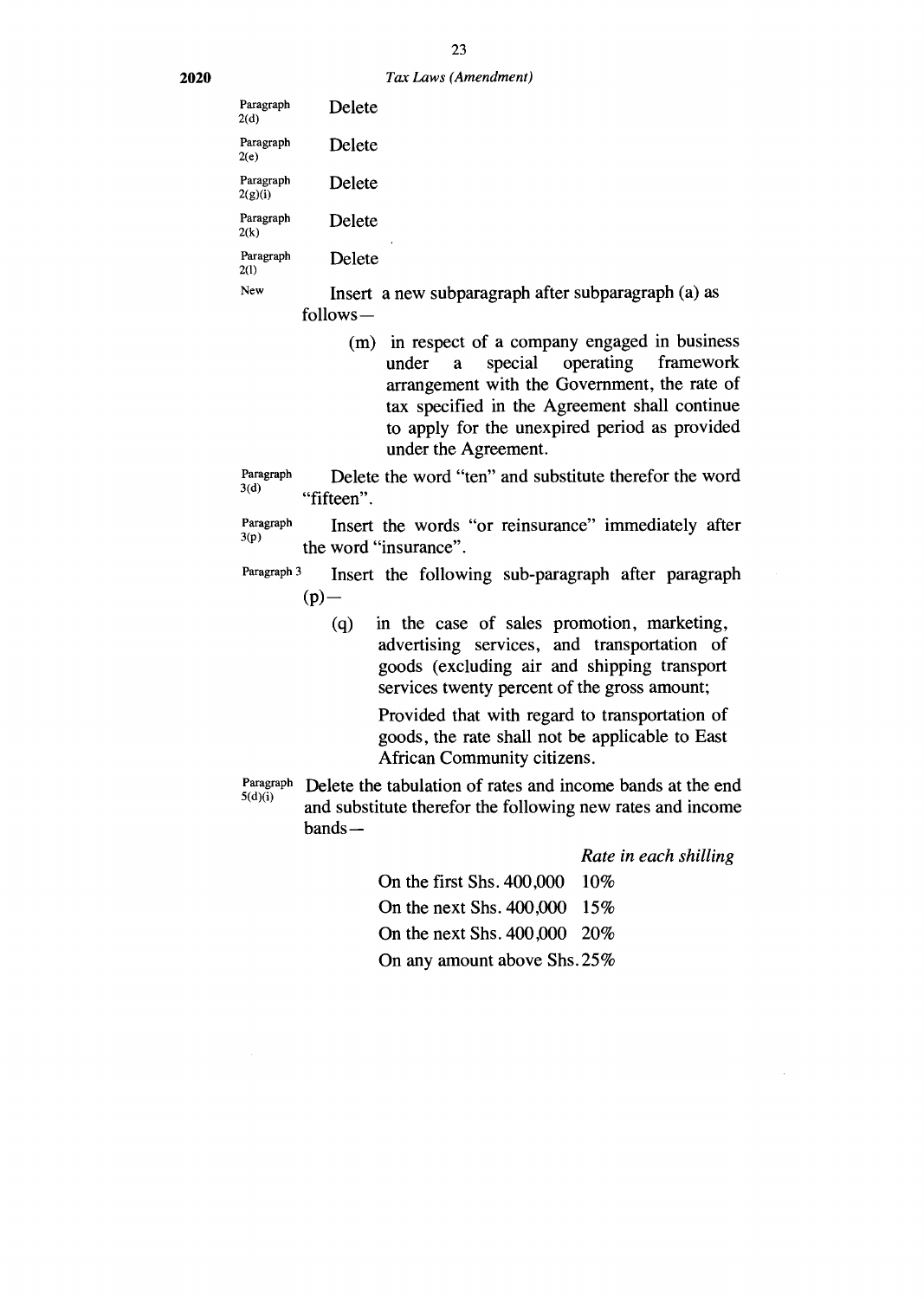**23 2020** *Tax Laws (Amendment)* 

| Paragraph<br>2(d)    | Delete                                              |
|----------------------|-----------------------------------------------------|
| Paragraph<br>2(e)    | Delete                                              |
| Paragraph<br>2(g)(i) | Delete                                              |
| Paragraph<br>2(k)    | Delete                                              |
| Paragraph<br>2(1)    | ٠<br>Delete                                         |
| New                  | Insert a new subparagraph after subparagraph (a) as |
|                      | follows —                                           |

(m) in respect of a company engaged in business under a special operating framework arrangement with the Government, the rate of tax specified in the Agreement shall continue to apply for the unexpired period as provided under the Agreement.

Paragraph Delete the word "ten" and substitute therefor the word  $3(d)$ "fifteen".

Paragraph Insert the words "or reinsurance" immediately after  $3(p)$ the word "insurance".

Paragraph 3 Insert the following sub-paragraph after paragraph  $(p)$  —

> (q) in the case of sales promotion, marketing, advertising services, and transportation of goods (excluding air and shipping transport services twenty percent of the gross amount;

> > Provided that with regard to transportation of goods, the rate shall not be applicable to East African Community citizens.

Delete the tabulation of rates and income bands at the end and substitute therefor the following new rates and income bands — Paragraph  $5(d)(i)$ 

*Rate in each shilling* 

| On the first Shs. $400,000$ 10% |  |
|---------------------------------|--|
| On the next Shs. $400,000$ 15%  |  |
| On the next Shs. $400,000$ 20%  |  |
| On any amount above Shs. 25%    |  |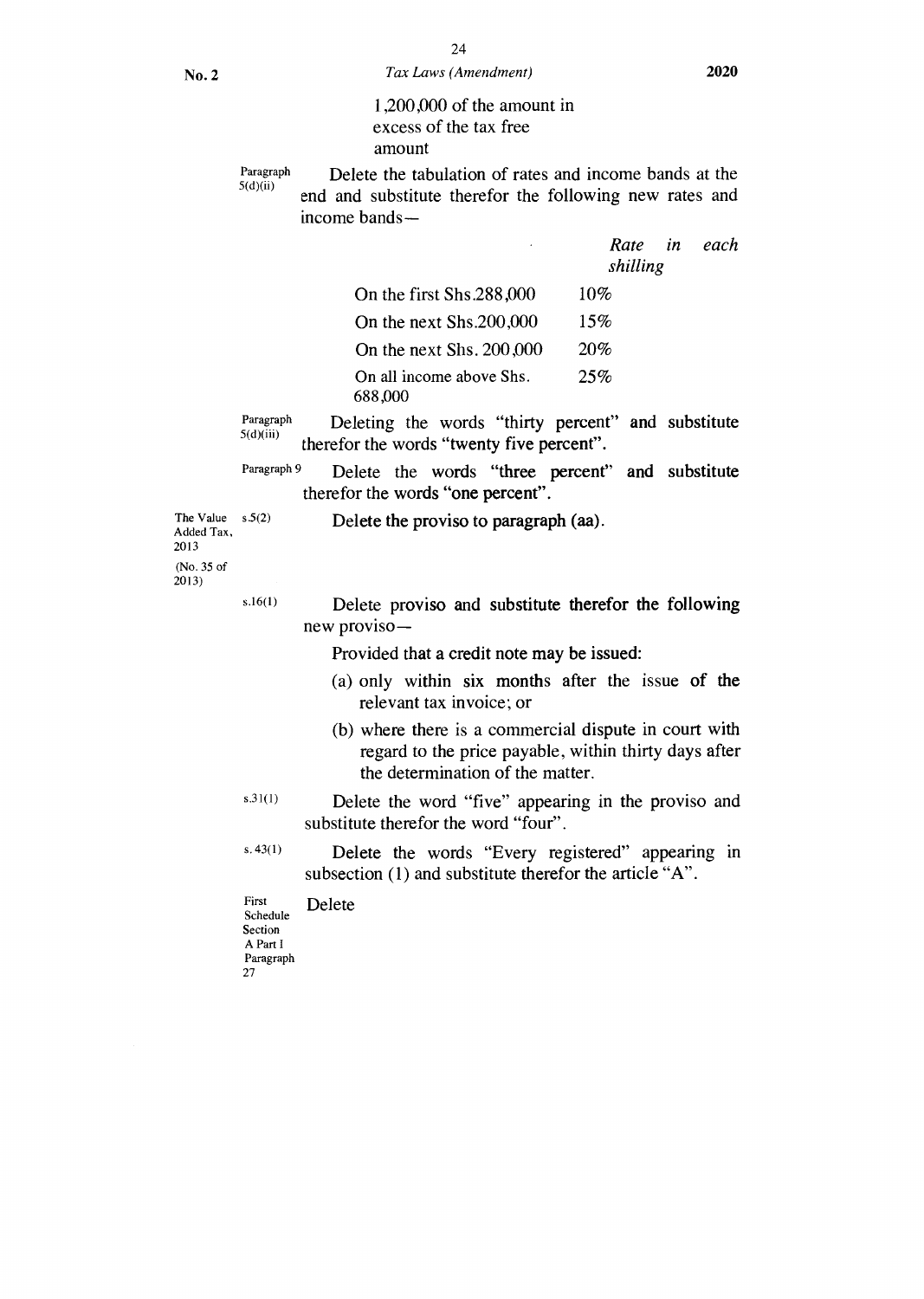1,200,000 of the amount in excess of the tax free amount

Paragraph 5(d)(ii) Delete the tabulation of rates and income bands at the end and substitute therefor the following new rates and income bands—

 $\cdot$ 

| Rate     | in | each |
|----------|----|------|
| shilling |    |      |

| On the first Shs.288,000 | $10\%$ |
|--------------------------|--------|
| On the next Shs.200,000  | 15%    |
| On the next Shs. 200,000 | 20%    |
| On all income above Shs. | 25%    |
| 688,000                  |        |

Deleting the words "thirty percent" and substitute therefor the words "twenty five percent". Paragraph  $5(d)(iii)$ 

Paragraph 9 Delete the words "three percent" and substitute therefor the words "one percent".

Delete the proviso to paragraph (aa).

(No. 35 of The Value  $s.5(2)$ Added Tax, 2013

2013)

 $s.16(1)$  Delete proviso and substitute therefor the following new proviso—

Provided that a credit note may be issued:

- (a) only within six months after the issue of the relevant tax invoice; or
- (b) where there is a commercial dispute in court with regard to the price payable, within thirty days after the determination of the matter.
- s.31(1) Delete the word "five" appearing in the proviso and substitute therefor the word "four".

s. 43(1) Delete the words "Every registered" appearing in subsection (1) and substitute therefor the article "A".

First Schedule **Section** A Part I Paragraph 27 Delete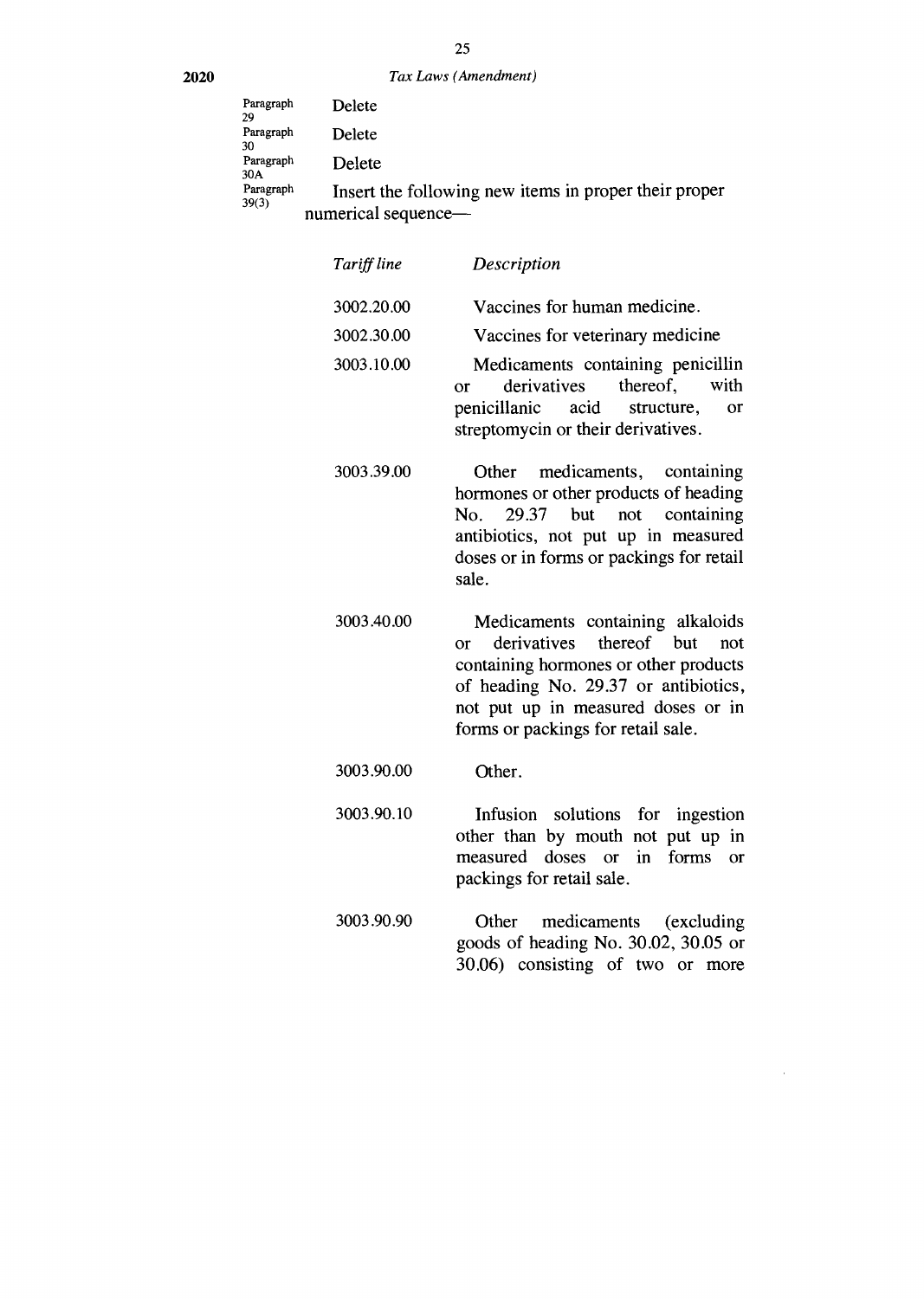# 25 2020 *Tax Laws (Amendment)*

| Paragraph<br>29    | Delete                                                |
|--------------------|-------------------------------------------------------|
| Paragraph<br>30    | Delete                                                |
| Paragraph<br>30A   | Delete                                                |
| Paragraph<br>39(3) | Insert the following new items in proper their proper |
|                    | numerical sequence—                                   |

| Tariff line | Description                                                                                                                                                                                                                        |
|-------------|------------------------------------------------------------------------------------------------------------------------------------------------------------------------------------------------------------------------------------|
| 3002.20.00  | Vaccines for human medicine.                                                                                                                                                                                                       |
| 3002.30.00  | Vaccines for veterinary medicine                                                                                                                                                                                                   |
| 3003.10.00  | Medicaments containing penicillin<br>thereof,<br>derivatives<br>with<br>$\alpha$ r<br>penicillanic acid structure,<br>or<br>streptomycin or their derivatives.                                                                     |
| 3003.39.00  | Other medicaments, containing<br>hormones or other products of heading<br>29.37 but not containing<br>No.<br>antibiotics, not put up in measured<br>doses or in forms or packings for retail<br>sale.                              |
| 3003.40.00  | Medicaments containing alkaloids<br>derivatives thereof but not<br>or<br>containing hormones or other products<br>of heading No. 29.37 or antibiotics,<br>not put up in measured doses or in<br>forms or packings for retail sale. |
| 3003.90.00  | Other.                                                                                                                                                                                                                             |
| 3003.90.10  | Infusion solutions for ingestion<br>other than by mouth not put up in<br>measured doses or in forms<br><b>or</b><br>packings for retail sale.                                                                                      |
| 3003.90.90  | Other medicaments (excluding                                                                                                                                                                                                       |

3003.90.90 Other medicaments (excluding goods of heading No. 30.02, 30.05 or 30.06) consisting of two or more

 $\sim$   $\sim$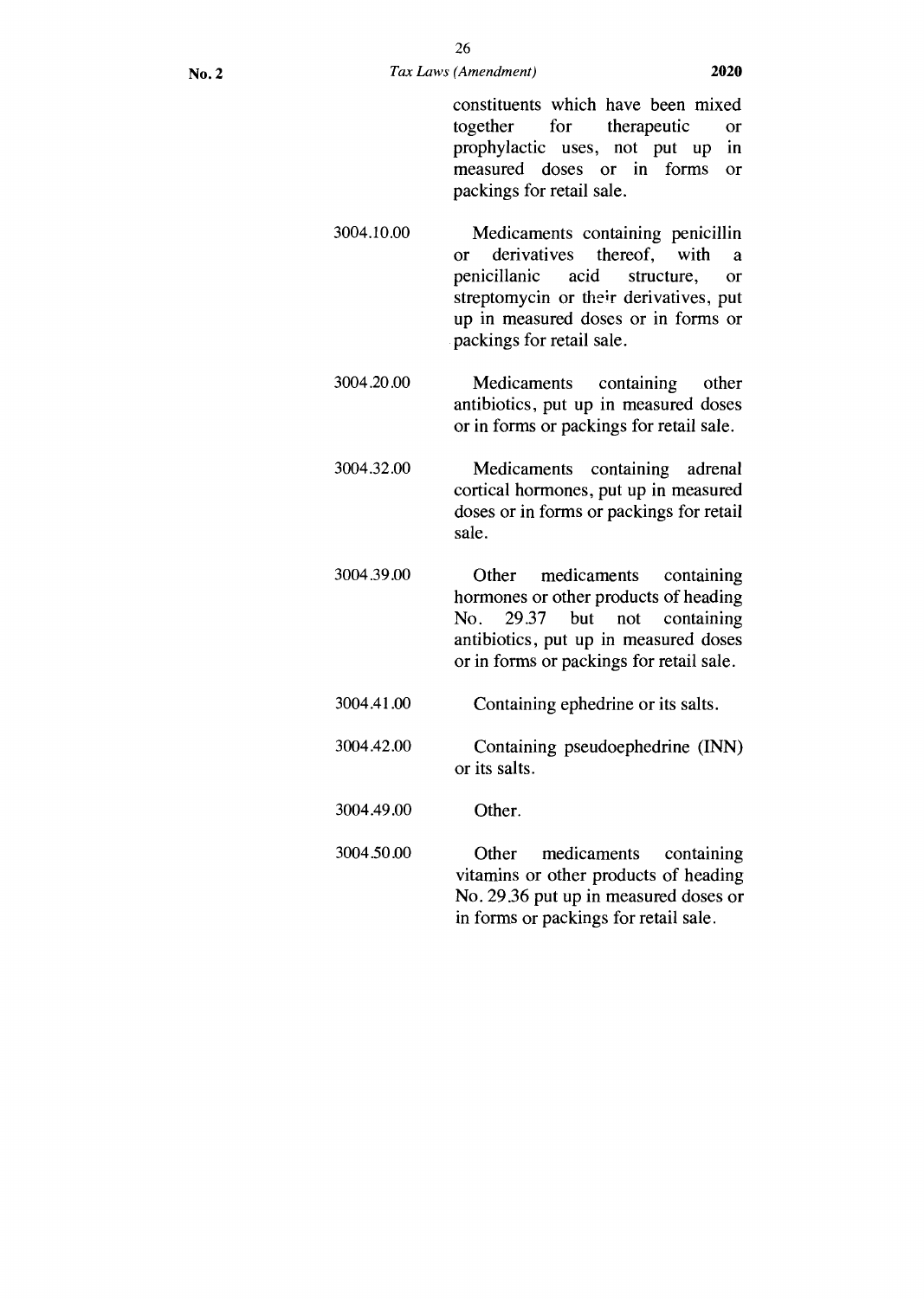26

constituents which have been mixed together for therapeutic or prophylactic uses, not put up in measured doses or in forms or packings for retail sale.

- 3004.10.00 Medicaments containing penicillin or derivatives thereof, with a penicillanic acid structure, or streptomycin or their derivatives, put up in measured doses or in forms or packings for retail sale.
- 3004.20.00 Medicaments containing other antibiotics, put up in measured doses or in forms or packings for retail sale.
- 3004.32.00 Medicaments containing adrenal cortical hormones, put up in measured doses or in forms or packings for retail sale.
- 3004.39.00 Other medicaments containing hormones or other products of heading No. 29.37 but not containing antibiotics, put up in measured doses or in forms or packings for retail sale.
- 3004.41.00 Containing ephedrine or its salts.
- 3004.42.00 Containing pseudoephedrine (INN) or its salts.
- 3004.49.00 Other.
- 3004.50.00 Other medicaments containing vitamins or other products of heading No. 29.36 put up in measured doses or in forms or packings for retail sale.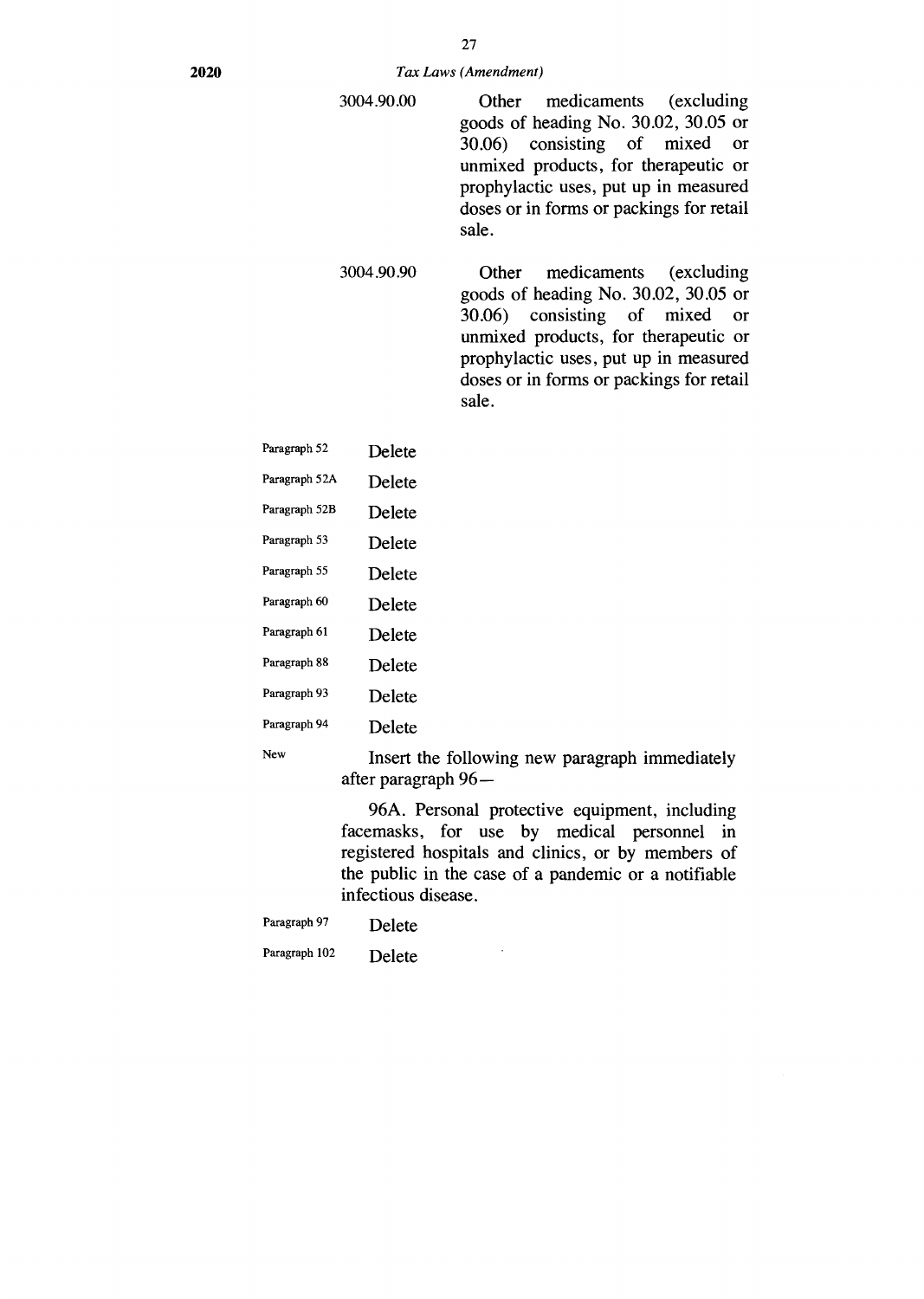|--|

3004.90.90 Other medicaments (excluding goods of heading No. 30.02, 30.05 or<br>30.06) consisting of mixed or consisting of mixed or unmixed products, for therapeutic or prophylactic uses, put up in measured doses or in forms or packings for retail sale.

| Paragraph 52  | Delete    |
|---------------|-----------|
| Paragraph 52A | Delete    |
| Paragraph 52B | Delete    |
| Paragraph 53  | Delete    |
| Paragraph 55  | Delete    |
| Paragraph 60  | Delete    |
| Paragraph 61  | Delete    |
| Paragraph 88  | Delete    |
| Paragraph 93  | Delete    |
| Paragraph 94  | Delete    |
| <b>New</b>    | Insert th |

Insert the following new paragraph immediately after paragraph 96 —

96A. Personal protective equipment, including facemasks, for use by medical personnel in registered hospitals and clinics, or by members of the public in the case of a pandemic or a notifiable infectious disease.

 $\cdot$ 

| Delete |
|--------|
|        |

Paragraph 102 Delete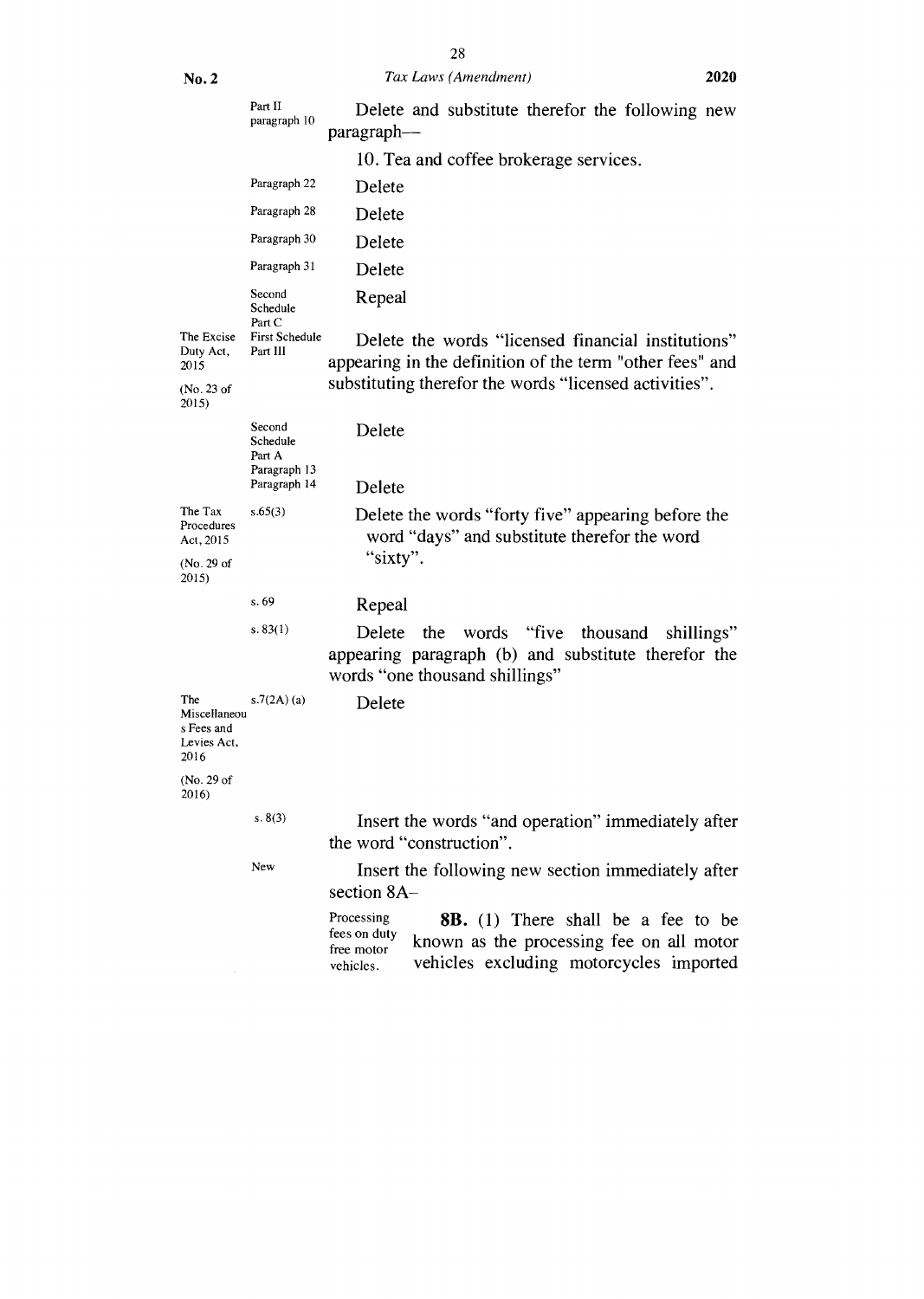| No. 2                                                     |                                                              | 2020<br>Tax Laws (Amendment)                                                                                                                                             |
|-----------------------------------------------------------|--------------------------------------------------------------|--------------------------------------------------------------------------------------------------------------------------------------------------------------------------|
|                                                           | Part II<br>paragraph 10                                      | Delete and substitute therefor the following new<br>paragraph-                                                                                                           |
|                                                           |                                                              | 10. Tea and coffee brokerage services.                                                                                                                                   |
|                                                           | Paragraph 22                                                 | Delete                                                                                                                                                                   |
|                                                           | Paragraph 28                                                 | Delete                                                                                                                                                                   |
|                                                           | Paragraph 30                                                 | Delete                                                                                                                                                                   |
|                                                           | Paragraph 31                                                 | Delete                                                                                                                                                                   |
|                                                           | Second<br>Schedule<br>Part C                                 | Repeal                                                                                                                                                                   |
| The Excise<br>Duty Act,<br>2015<br>(No. 23 of<br>2015)    | First Schedule<br>Part III                                   | Delete the words "licensed financial institutions"<br>appearing in the definition of the term "other fees" and<br>substituting therefor the words "licensed activities". |
|                                                           | Second<br>Schedule<br>Part A<br>Paragraph 13<br>Paragraph 14 | Delete<br>Delete                                                                                                                                                         |
| The Tax<br>Procedures<br>Act, 2015<br>(No. 29 of<br>2015) | s.65(3)                                                      | Delete the words "forty five" appearing before the<br>word "days" and substitute therefor the word<br>"sixty".                                                           |
|                                                           | s. 69                                                        | Repeal                                                                                                                                                                   |
|                                                           | s.83(1)                                                      | "five"<br>Delete<br>the<br>words<br>thousand<br>shillings"<br>appearing paragraph (b) and substitute therefor the<br>words "one thousand shillings"                      |
| The<br>Miscellaneou<br>s Fees and<br>Levies Act,<br>2016  | s.7(2A)(a)                                                   | Delete                                                                                                                                                                   |
| (No. 29 of<br>2016)                                       |                                                              |                                                                                                                                                                          |
|                                                           | s. 8(3)                                                      | Insert the words "and operation" immediately after<br>the word "construction".                                                                                           |
|                                                           | New                                                          | Insert the following new section immediately after<br>section 8A-                                                                                                        |
|                                                           |                                                              | Processing<br><b>8B.</b> (1) There shall be a fee to be<br>fees on duty<br>known as the processing fee on all motor<br>free motor.                                       |

vehicles excluding motorcycles imported

free motor vehicles.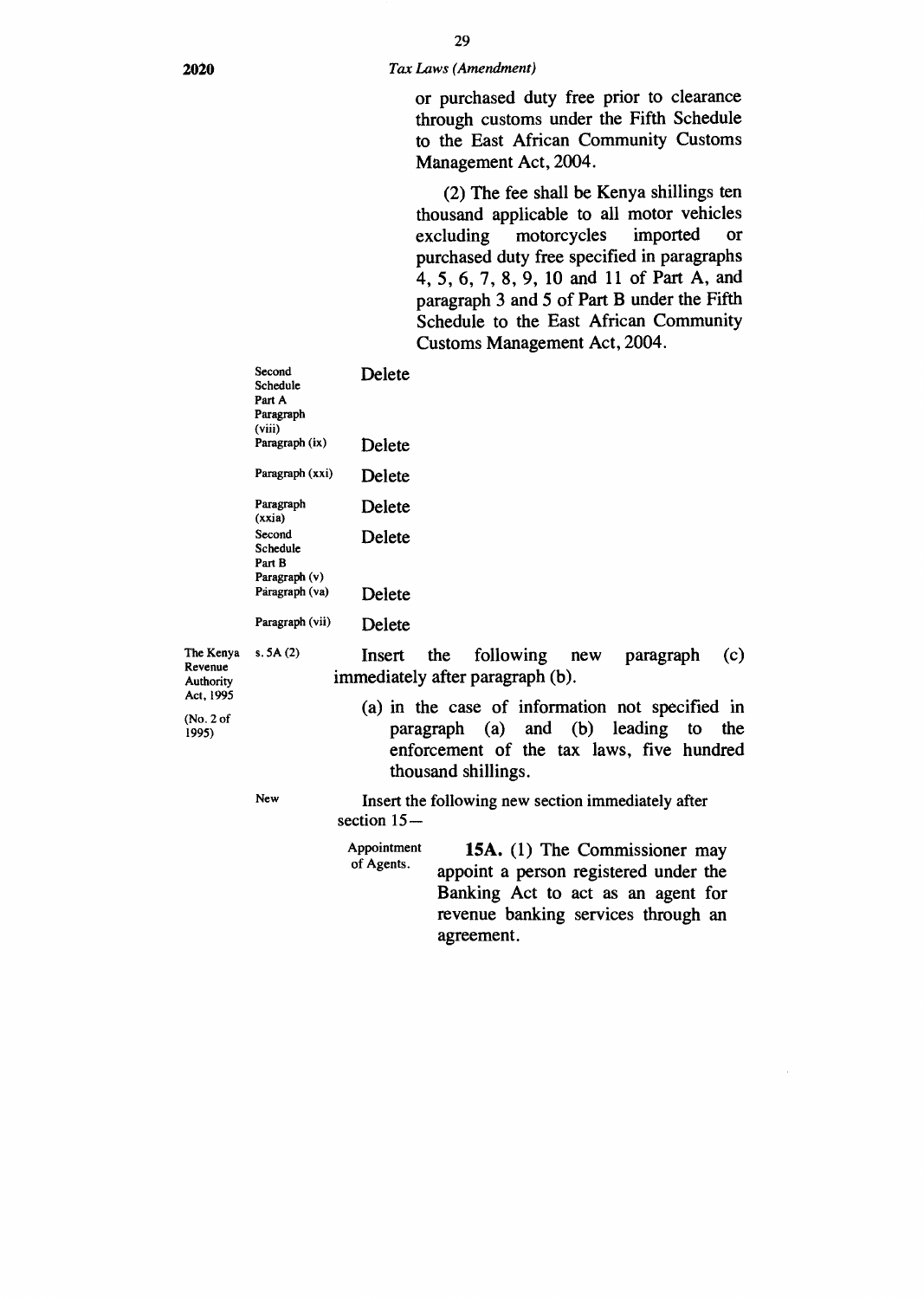### **2020** *Tax Laws (Amendment)*

or purchased duty free prior to clearance through customs under the Fifth Schedule to the East African Community Customs Management Act, 2004.

(2) The fee shall be Kenya shillings ten thousand applicable to all motor vehicles excluding motorcycles imported or purchased duty free specified in paragraphs 4, 5, 6, 7, 8, 9, 10 and 11 of Part A, and paragraph 3 and 5 of Part B under the Fifth Schedule to the East African Community Customs Management Act, 2004.

| The Kenya<br>Revenue<br><b>Authority</b><br>Act. 1995<br>(No. 2 of<br>1995) | Second<br>Schedule<br>Part A<br>Paragraph<br>(viii) | Delete                                                                                                                                                                                                                                                      |
|-----------------------------------------------------------------------------|-----------------------------------------------------|-------------------------------------------------------------------------------------------------------------------------------------------------------------------------------------------------------------------------------------------------------------|
|                                                                             | Paragraph (ix)                                      | Delete                                                                                                                                                                                                                                                      |
|                                                                             | Paragraph (xxi)                                     | Delete                                                                                                                                                                                                                                                      |
|                                                                             | Paragraph<br>(xxi)                                  | Delete                                                                                                                                                                                                                                                      |
|                                                                             | Second<br>Schedule<br>Part B                        | Delete                                                                                                                                                                                                                                                      |
|                                                                             | Paragraph (v)<br>Paragraph (va)                     | Delete                                                                                                                                                                                                                                                      |
|                                                                             | Paragraph (vii)                                     | Delete                                                                                                                                                                                                                                                      |
|                                                                             | s.5A(2)                                             | following new<br>the<br>(c)<br>Insert<br>paragraph<br>immediately after paragraph (b).<br>(a) in the case of information not specified in<br>paragraph (a) and (b) leading<br>the<br>to<br>enforcement of the tax laws, five hundred<br>thousand shillings. |
|                                                                             | <b>New</b>                                          | Insert the following new section immediately after<br>section $15-$                                                                                                                                                                                         |
|                                                                             |                                                     | Appointment<br>15A. (1) The Commissioner may<br>of Agents.<br>appoint a person registered under the<br>Banking Act to act as an agent for<br>revenue banking services through an<br>agreement.                                                              |